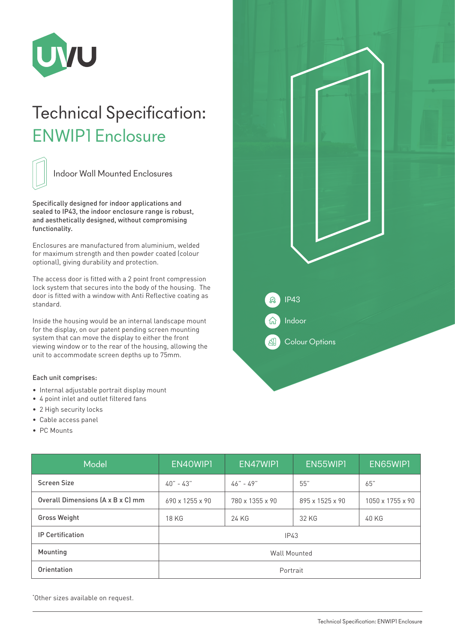

## Technical Specification: ENWIP1 Enclosure



Indoor Wall Mounted Enclosures

Specifically designed for indoor applications and sealed to IP43, the indoor enclosure range is robust, and aesthetically designed, without compromising functionality.

Enclosures are manufactured from aluminium, welded for maximum strength and then powder coated (colour optional), giving durability and protection.

The access door is fitted with a 2 point front compression lock system that secures into the body of the housing. The door is fitted with a window with Anti Reflective coating as standard.

Inside the housing would be an internal landscape mount for the display, on our patent pending screen mounting system that can move the display to either the front viewing window or to the rear of the housing, allowing the unit to accommodate screen depths up to 75mm.

## Each unit comprises:

- Internal adjustable portrait display mount
- 4 point inlet and outlet filtered fans
- 2 High security locks
- Cable access panel
- PC Mounts

| Model                             | EN40WIP1            | EN47WIPI        | EN55WIP1        | EN65WIP1         |
|-----------------------------------|---------------------|-----------------|-----------------|------------------|
| <b>Screen Size</b>                | $40 - 43$           | $46" - 49"$     | 55"             | 65"              |
| Overall Dimensions (A x B x C) mm | 690 x 1255 x 90     | 780 x 1355 x 90 | 895 x 1525 x 90 | 1050 x 1755 x 90 |
| <b>Gross Weight</b>               | <b>18 KG</b>        | 24 KG           | 32 KG           | 40 KG            |
| <b>IP Certification</b>           | IP43                |                 |                 |                  |
| Mounting                          | <b>Wall Mounted</b> |                 |                 |                  |
| Orientation                       | Portrait            |                 |                 |                  |

\* Other sizes available on request.